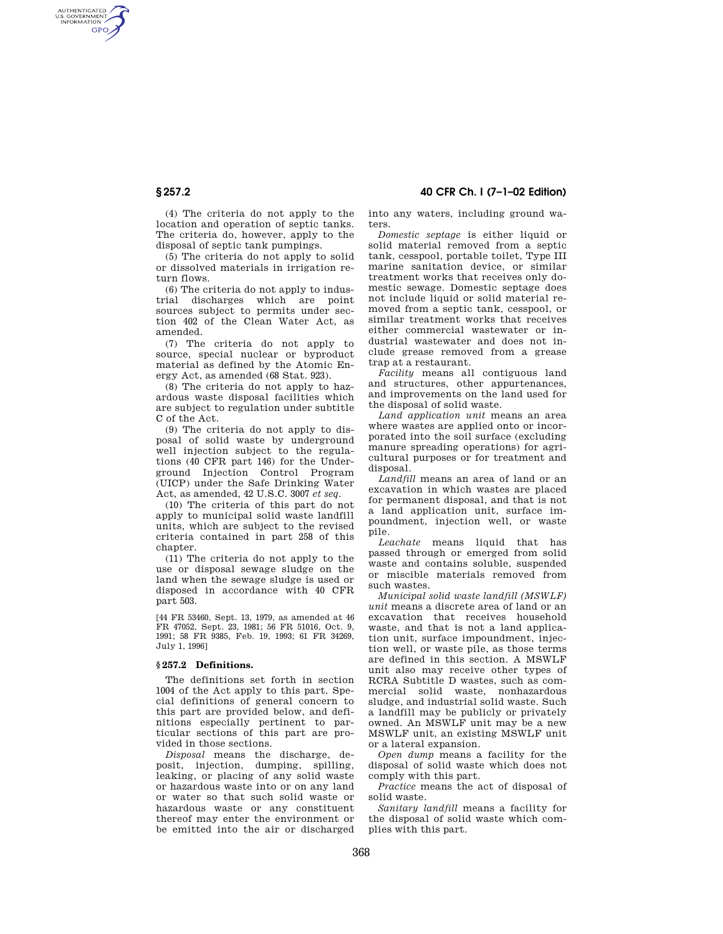AUTHENTICATED<br>U.S. GOVERNMENT<br>INFORMATION **GPO** 

> (4) The criteria do not apply to the location and operation of septic tanks. The criteria do, however, apply to the disposal of septic tank pumpings.

(5) The criteria do not apply to solid or dissolved materials in irrigation return flows.

(6) The criteria do not apply to industrial discharges which are point sources subject to permits under section 402 of the Clean Water Act, as amended.

(7) The criteria do not apply to source, special nuclear or byproduct material as defined by the Atomic Energy Act, as amended (68 Stat. 923).

(8) The criteria do not apply to hazardous waste disposal facilities which are subject to regulation under subtitle C of the Act.

(9) The criteria do not apply to disposal of solid waste by underground well injection subject to the regulations (40 CFR part 146) for the Underground Injection Control Program (UICP) under the Safe Drinking Water Act, as amended, 42 U.S.C. 3007 *et seq*.

(10) The criteria of this part do not apply to municipal solid waste landfill units, which are subject to the revised criteria contained in part 258 of this chapter.

(11) The criteria do not apply to the use or disposal sewage sludge on the land when the sewage sludge is used or disposed in accordance with 40 CFR part 503.

[44 FR 53460, Sept. 13, 1979, as amended at 46 FR 47052, Sept. 23, 1981; 56 FR 51016, Oct. 9, 1991; 58 FR 9385, Feb. 19, 1993; 61 FR 34269, July 1, 1996]

#### **§ 257.2 Definitions.**

The definitions set forth in section 1004 of the Act apply to this part. Special definitions of general concern to this part are provided below, and definitions especially pertinent to particular sections of this part are provided in those sections.

*Disposal* means the discharge, deposit, injection, dumping, spilling, leaking, or placing of any solid waste or hazardous waste into or on any land or water so that such solid waste or hazardous waste or any constituent thereof may enter the environment or be emitted into the air or discharged

**§ 257.2 40 CFR Ch. I (7–1–02 Edition)**

into any waters, including ground waters.

*Domestic septage* is either liquid or solid material removed from a septic tank, cesspool, portable toilet, Type III marine sanitation device, or similar treatment works that receives only domestic sewage. Domestic septage does not include liquid or solid material removed from a septic tank, cesspool, or similar treatment works that receives either commercial wastewater or industrial wastewater and does not include grease removed from a grease trap at a restaurant.

*Facility* means all contiguous land and structures, other appurtenances, and improvements on the land used for the disposal of solid waste.

*Land application unit* means an area where wastes are applied onto or incorporated into the soil surface (excluding manure spreading operations) for agricultural purposes or for treatment and disposal.

*Landfill* means an area of land or an excavation in which wastes are placed for permanent disposal, and that is not a land application unit, surface impoundment, injection well, or waste pile.

*Leachate* means liquid that has passed through or emerged from solid waste and contains soluble, suspended or miscible materials removed from such wastes.

*Municipal solid waste landfill (MSWLF) unit* means a discrete area of land or an excavation that receives household waste, and that is not a land application unit, surface impoundment, injection well, or waste pile, as those terms are defined in this section. A MSWLF unit also may receive other types of RCRA Subtitle D wastes, such as commercial solid waste, nonhazardous sludge, and industrial solid waste. Such a landfill may be publicly or privately owned. An MSWLF unit may be a new MSWLF unit, an existing MSWLF unit or a lateral expansion.

*Open dump* means a facility for the disposal of solid waste which does not comply with this part.

*Practice* means the act of disposal of solid waste.

*Sanitary landfill* means a facility for the disposal of solid waste which complies with this part.